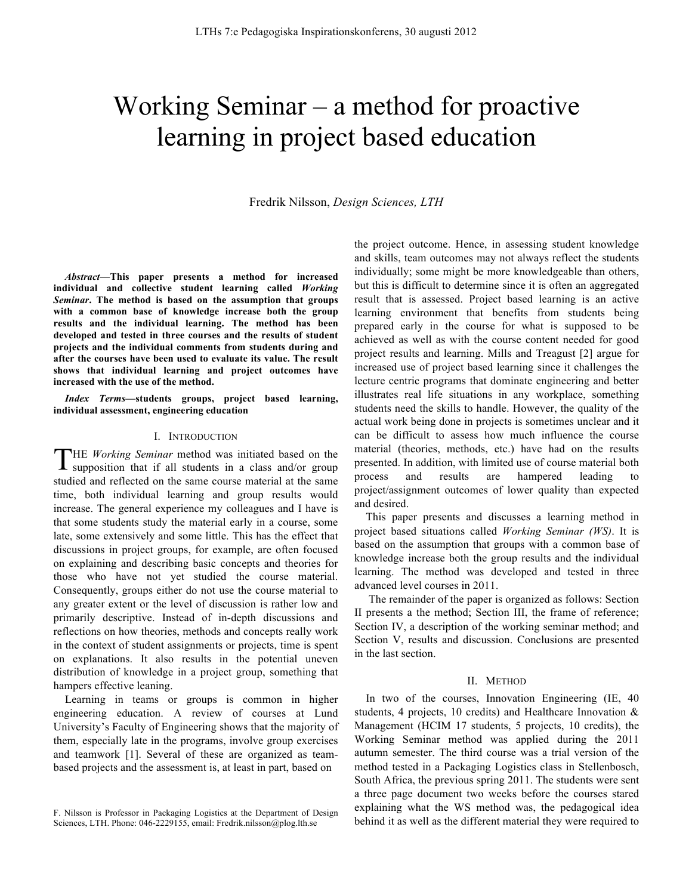# Working Seminar – a method for proactive learning in project based education

Fredrik Nilsson, *Design Sciences, LTH*

*Abstract***—This paper presents a method for increased individual and collective student learning called** *Working Seminar***. The method is based on the assumption that groups with a common base of knowledge increase both the group results and the individual learning. The method has been developed and tested in three courses and the results of student projects and the individual comments from students during and after the courses have been used to evaluate its value. The result shows that individual learning and project outcomes have increased with the use of the method.** 

*Index Terms***—students groups, project based learning, individual assessment, engineering education**

## I. INTRODUCTION

HE *Working Seminar* method was initiated based on the supposition that if all students in a class and/or group studied and reflected on the same course material at the same time, both individual learning and group results would increase. The general experience my colleagues and I have is that some students study the material early in a course, some late, some extensively and some little. This has the effect that discussions in project groups, for example, are often focused on explaining and describing basic concepts and theories for those who have not yet studied the course material. Consequently, groups either do not use the course material to any greater extent or the level of discussion is rather low and primarily descriptive. Instead of in-depth discussions and reflections on how theories, methods and concepts really work in the context of student assignments or projects, time is spent on explanations. It also results in the potential uneven distribution of knowledge in a project group, something that hampers effective leaning. T

Learning in teams or groups is common in higher engineering education. A review of courses at Lund University's Faculty of Engineering shows that the majority of them, especially late in the programs, involve group exercises and teamwork [1]. Several of these are organized as teambased projects and the assessment is, at least in part, based on

the project outcome. Hence, in assessing student knowledge and skills, team outcomes may not always reflect the students individually; some might be more knowledgeable than others, but this is difficult to determine since it is often an aggregated result that is assessed. Project based learning is an active learning environment that benefits from students being prepared early in the course for what is supposed to be achieved as well as with the course content needed for good project results and learning. Mills and Treagust [2] argue for increased use of project based learning since it challenges the lecture centric programs that dominate engineering and better illustrates real life situations in any workplace, something students need the skills to handle. However, the quality of the actual work being done in projects is sometimes unclear and it can be difficult to assess how much influence the course material (theories, methods, etc.) have had on the results presented. In addition, with limited use of course material both process and results are hampered leading to project/assignment outcomes of lower quality than expected and desired.

This paper presents and discusses a learning method in project based situations called *Working Seminar (WS)*. It is based on the assumption that groups with a common base of knowledge increase both the group results and the individual learning. The method was developed and tested in three advanced level courses in 2011.

The remainder of the paper is organized as follows: Section II presents a the method; Section III, the frame of reference; Section IV, a description of the working seminar method; and Section V, results and discussion. Conclusions are presented in the last section.

## II. METHOD

In two of the courses, Innovation Engineering (IE, 40) students, 4 projects, 10 credits) and Healthcare Innovation & Management (HCIM 17 students, 5 projects, 10 credits), the Working Seminar method was applied during the 2011 autumn semester. The third course was a trial version of the method tested in a Packaging Logistics class in Stellenbosch, South Africa, the previous spring 2011. The students were sent a three page document two weeks before the courses stared explaining what the WS method was, the pedagogical idea behind it as well as the different material they were required to

F. Nilsson is Professor in Packaging Logistics at the Department of Design Sciences, LTH. Phone: 046-2229155, email: Fredrik.nilsson@plog.lth.se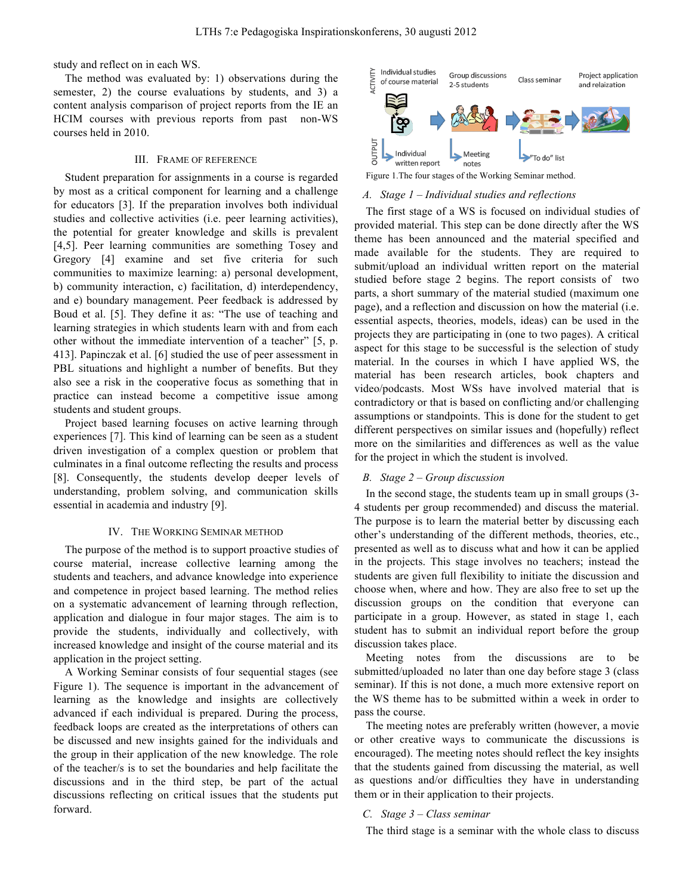study and reflect on in each WS.

The method was evaluated by: 1) observations during the semester, 2) the course evaluations by students, and 3) a content analysis comparison of project reports from the IE an HCIM courses with previous reports from past non-WS courses held in 2010.

# III. FRAME OF REFERENCE

Student preparation for assignments in a course is regarded by most as a critical component for learning and a challenge for educators [3]. If the preparation involves both individual studies and collective activities (i.e. peer learning activities), the potential for greater knowledge and skills is prevalent [4,5]. Peer learning communities are something Tosey and Gregory [4] examine and set five criteria for such communities to maximize learning: a) personal development, b) community interaction, c) facilitation, d) interdependency, and e) boundary management. Peer feedback is addressed by Boud et al. [5]. They define it as: "The use of teaching and learning strategies in which students learn with and from each other without the immediate intervention of a teacher" [5, p. 413]. Papinczak et al. [6] studied the use of peer assessment in PBL situations and highlight a number of benefits. But they also see a risk in the cooperative focus as something that in practice can instead become a competitive issue among students and student groups.

Project based learning focuses on active learning through experiences [7]. This kind of learning can be seen as a student driven investigation of a complex question or problem that culminates in a final outcome reflecting the results and process [8]. Consequently, the students develop deeper levels of understanding, problem solving, and communication skills essential in academia and industry [9].

#### IV. THE WORKING SEMINAR METHOD

The purpose of the method is to support proactive studies of course material, increase collective learning among the students and teachers, and advance knowledge into experience and competence in project based learning. The method relies on a systematic advancement of learning through reflection, application and dialogue in four major stages. The aim is to provide the students, individually and collectively, with increased knowledge and insight of the course material and its application in the project setting.

A Working Seminar consists of four sequential stages (see Figure 1). The sequence is important in the advancement of learning as the knowledge and insights are collectively advanced if each individual is prepared. During the process, feedback loops are created as the interpretations of others can be discussed and new insights gained for the individuals and the group in their application of the new knowledge. The role of the teacher/s is to set the boundaries and help facilitate the discussions and in the third step, be part of the actual discussions reflecting on critical issues that the students put forward.



Figure 1.The four stages of the Working Seminar method.

#### *A. Stage 1 – Individual studies and reflections*

The first stage of a WS is focused on individual studies of provided material. This step can be done directly after the WS theme has been announced and the material specified and made available for the students. They are required to submit/upload an individual written report on the material studied before stage 2 begins. The report consists of two parts, a short summary of the material studied (maximum one page), and a reflection and discussion on how the material (i.e. essential aspects, theories, models, ideas) can be used in the projects they are participating in (one to two pages). A critical aspect for this stage to be successful is the selection of study material. In the courses in which I have applied WS, the material has been research articles, book chapters and video/podcasts. Most WSs have involved material that is contradictory or that is based on conflicting and/or challenging assumptions or standpoints. This is done for the student to get different perspectives on similar issues and (hopefully) reflect more on the similarities and differences as well as the value for the project in which the student is involved.

# *B. Stage 2 – Group discussion*

In the second stage, the students team up in small groups (3- 4 students per group recommended) and discuss the material. The purpose is to learn the material better by discussing each other's understanding of the different methods, theories, etc., presented as well as to discuss what and how it can be applied in the projects. This stage involves no teachers; instead the students are given full flexibility to initiate the discussion and choose when, where and how. They are also free to set up the discussion groups on the condition that everyone can participate in a group. However, as stated in stage 1, each student has to submit an individual report before the group discussion takes place.

Meeting notes from the discussions are to be submitted/uploaded no later than one day before stage 3 (class seminar). If this is not done, a much more extensive report on the WS theme has to be submitted within a week in order to pass the course.

The meeting notes are preferably written (however, a movie or other creative ways to communicate the discussions is encouraged). The meeting notes should reflect the key insights that the students gained from discussing the material, as well as questions and/or difficulties they have in understanding them or in their application to their projects.

# *C. Stage 3 – Class seminar*

The third stage is a seminar with the whole class to discuss